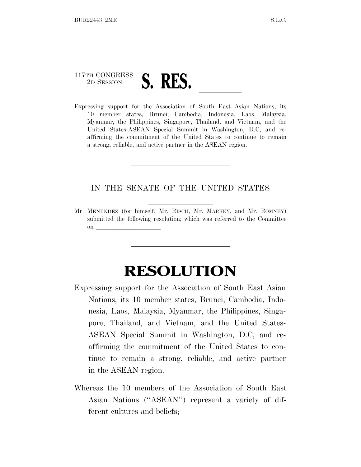## 117TH CONGRESS <sup>2</sup><sup>D</sup> <sup>S</sup>ESSION **S. RES.** ll Expressing support for the Association of South East Asian Nations, its

10 member states, Brunei, Cambodia, Indonesia, Laos, Malaysia, Myanmar, the Philippines, Singapore, Thailand, and Vietnam, and the United States-ASEAN Special Summit in Washington, D.C, and reaffirming the commitment of the United States to continue to remain a strong, reliable, and active partner in the ASEAN region.

## IN THE SENATE OF THE UNITED STATES

Mr. MENENDEZ (for himself, Mr. RISCH, Mr. MARKEY, and Mr. ROMNEY) submitted the following resolution; which was referred to the Committee on  $\overline{\qquad \qquad }$ 

## **RESOLUTION**

- Expressing support for the Association of South East Asian Nations, its 10 member states, Brunei, Cambodia, Indonesia, Laos, Malaysia, Myanmar, the Philippines, Singapore, Thailand, and Vietnam, and the United States-ASEAN Special Summit in Washington, D.C, and reaffirming the commitment of the United States to continue to remain a strong, reliable, and active partner in the ASEAN region.
- Whereas the 10 members of the Association of South East Asian Nations (''ASEAN'') represent a variety of different cultures and beliefs;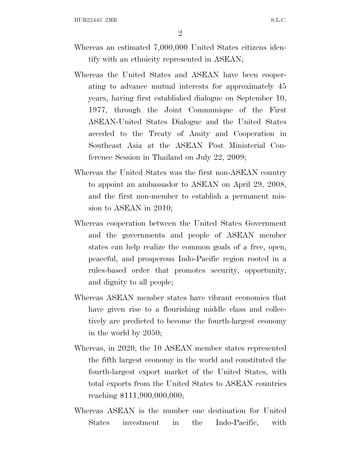- Whereas an estimated 7,000,000 United States citizens identify with an ethnicity represented in ASEAN;
- Whereas the United States and ASEAN have been cooperating to advance mutual interests for approximately 45 years, having first established dialogue on September 10, 1977, through the Joint Communique of the First ASEAN-United States Dialogue and the United States acceded to the Treaty of Amity and Cooperation in Southeast Asia at the ASEAN Post Ministerial Conference Session in Thailand on July 22, 2009;
- Whereas the United States was the first non-ASEAN country to appoint an ambassador to ASEAN on April 29, 2008, and the first non-member to establish a permanent mission to ASEAN in 2010;
- Whereas cooperation between the United States Government and the governments and people of ASEAN member states can help realize the common goals of a free, open, peaceful, and prosperous Indo-Pacific region rooted in a rules-based order that promotes security, opportunity, and dignity to all people;
- Whereas ASEAN member states have vibrant economies that have given rise to a flourishing middle class and collectively are predicted to become the fourth-largest economy in the world by 2050;
- Whereas, in 2020, the 10 ASEAN member states represented the fifth largest economy in the world and constituted the fourth-largest export market of the United States, with total exports from the United States to ASEAN countries reaching \$111,900,000,000;
- Whereas ASEAN is the number one destination for United States investment in the Indo-Pacific, with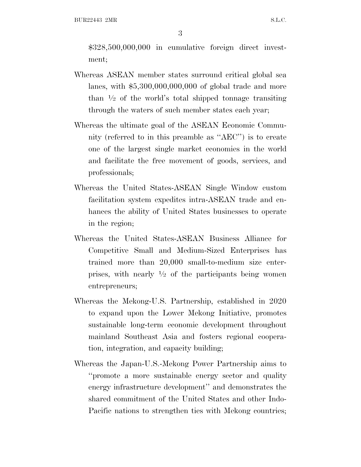\$328,500,000,000 in cumulative foreign direct investment;

- Whereas ASEAN member states surround critical global sea lanes, with \$5,300,000,000,000 of global trade and more than 1 ⁄2 of the world's total shipped tonnage transiting through the waters of such member states each year;
- Whereas the ultimate goal of the ASEAN Economic Community (referred to in this preamble as ''AEC'') is to create one of the largest single market economies in the world and facilitate the free movement of goods, services, and professionals;
- Whereas the United States-ASEAN Single Window custom facilitation system expedites intra-ASEAN trade and enhances the ability of United States businesses to operate in the region;
- Whereas the United States-ASEAN Business Alliance for Competitive Small and Medium-Sized Enterprises has trained more than 20,000 small-to-medium size enterprises, with nearly 1 ⁄2 of the participants being women entrepreneurs;
- Whereas the Mekong-U.S. Partnership, established in 2020 to expand upon the Lower Mekong Initiative, promotes sustainable long-term economic development throughout mainland Southeast Asia and fosters regional cooperation, integration, and capacity building;
- Whereas the Japan-U.S.-Mekong Power Partnership aims to ''promote a more sustainable energy sector and quality energy infrastructure development'' and demonstrates the shared commitment of the United States and other Indo-Pacific nations to strengthen ties with Mekong countries;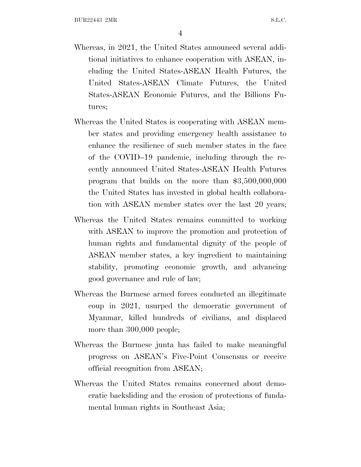- Whereas, in 2021, the United States announced several additional initiatives to enhance cooperation with ASEAN, including the United States-ASEAN Health Futures, the United States-ASEAN Climate Futures, the United States-ASEAN Economic Futures, and the Billions Futures;
- Whereas the United States is cooperating with ASEAN member states and providing emergency health assistance to enhance the resilience of such member states in the face of the COVID–19 pandemic, including through the recently announced United States-ASEAN Health Futures program that builds on the more than \$3,500,000,000 the United States has invested in global health collaboration with ASEAN member states over the last 20 years;
- Whereas the United States remains committed to working with ASEAN to improve the promotion and protection of human rights and fundamental dignity of the people of ASEAN member states, a key ingredient to maintaining stability, promoting economic growth, and advancing good governance and rule of law;
- Whereas the Burmese armed forces conducted an illegitimate coup in 2021, usurped the democratic government of Myanmar, killed hundreds of civilians, and displaced more than 300,000 people;
- Whereas the Burmese junta has failed to make meaningful progress on ASEAN's Five-Point Consensus or receive official recognition from ASEAN;
- Whereas the United States remains concerned about democratic backsliding and the erosion of protections of fundamental human rights in Southeast Asia;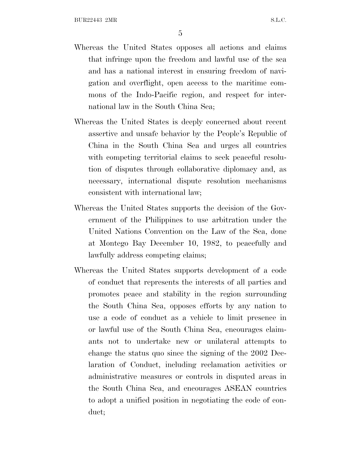- Whereas the United States opposes all actions and claims that infringe upon the freedom and lawful use of the sea and has a national interest in ensuring freedom of navigation and overflight, open access to the maritime commons of the Indo-Pacific region, and respect for international law in the South China Sea;
- Whereas the United States is deeply concerned about recent assertive and unsafe behavior by the People's Republic of China in the South China Sea and urges all countries with competing territorial claims to seek peaceful resolution of disputes through collaborative diplomacy and, as necessary, international dispute resolution mechanisms consistent with international law;
- Whereas the United States supports the decision of the Government of the Philippines to use arbitration under the United Nations Convention on the Law of the Sea, done at Montego Bay December 10, 1982, to peacefully and lawfully address competing claims;
- Whereas the United States supports development of a code of conduct that represents the interests of all parties and promotes peace and stability in the region surrounding the South China Sea, opposes efforts by any nation to use a code of conduct as a vehicle to limit presence in or lawful use of the South China Sea, encourages claimants not to undertake new or unilateral attempts to change the status quo since the signing of the 2002 Declaration of Conduct, including reclamation activities or administrative measures or controls in disputed areas in the South China Sea, and encourages ASEAN countries to adopt a unified position in negotiating the code of conduct;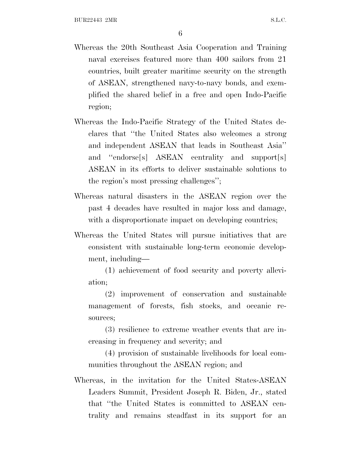- Whereas the 20th Southeast Asia Cooperation and Training naval exercises featured more than 400 sailors from 21 countries, built greater maritime security on the strength of ASEAN, strengthened navy-to-navy bonds, and exemplified the shared belief in a free and open Indo-Pacific region;
- Whereas the Indo-Pacific Strategy of the United States declares that ''the United States also welcomes a strong and independent ASEAN that leads in Southeast Asia'' and ''endorse[s] ASEAN centrality and support[s] ASEAN in its efforts to deliver sustainable solutions to the region's most pressing challenges'';
- Whereas natural disasters in the ASEAN region over the past 4 decades have resulted in major loss and damage, with a disproportionate impact on developing countries;
- Whereas the United States will pursue initiatives that are consistent with sustainable long-term economic development, including—
	- (1) achievement of food security and poverty alleviation;

(2) improvement of conservation and sustainable management of forests, fish stocks, and oceanic resources;

(3) resilience to extreme weather events that are increasing in frequency and severity; and

(4) provision of sustainable livelihoods for local communities throughout the ASEAN region; and

Whereas, in the invitation for the United States-ASEAN Leaders Summit, President Joseph R. Biden, Jr., stated that ''the United States is committed to ASEAN centrality and remains steadfast in its support for an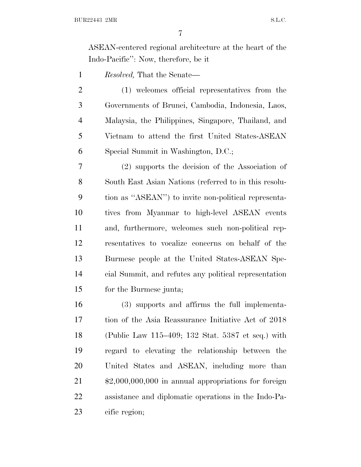ASEAN-centered regional architecture at the heart of the Indo-Pacific'': Now, therefore, be it

*Resolved,* That the Senate—

 (1) welcomes official representatives from the Governments of Brunei, Cambodia, Indonesia, Laos, Malaysia, the Philippines, Singapore, Thailand, and Vietnam to attend the first United States-ASEAN Special Summit in Washington, D.C.;

 (2) supports the decision of the Association of South East Asian Nations (referred to in this resolu- tion as ''ASEAN'') to invite non-political representa- tives from Myanmar to high-level ASEAN events and, furthermore, welcomes such non-political rep- resentatives to vocalize concerns on behalf of the Burmese people at the United States-ASEAN Spe- cial Summit, and refutes any political representation for the Burmese junta;

 (3) supports and affirms the full implementa- tion of the Asia Reassurance Initiative Act of 2018 (Public Law 115–409; 132 Stat. 5387 et seq.) with regard to elevating the relationship between the United States and ASEAN, including more than \$2,000,000,000 in annual appropriations for foreign assistance and diplomatic operations in the Indo-Pa-cific region;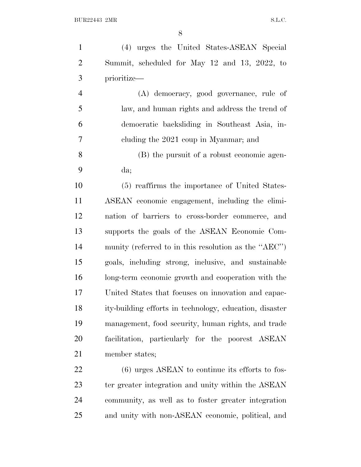(4) urges the United States-ASEAN Special Summit, scheduled for May 12 and 13, 2022, to prioritize— (A) democracy, good governance, rule of law, and human rights and address the trend of democratic backsliding in Southeast Asia, in- cluding the 2021 coup in Myanmar; and (B) the pursuit of a robust economic agen- da; (5) reaffirms the importance of United States- ASEAN economic engagement, including the elimi- nation of barriers to cross-border commerce, and supports the goals of the ASEAN Economic Com- munity (referred to in this resolution as the ''AEC'') goals, including strong, inclusive, and sustainable long-term economic growth and cooperation with the United States that focuses on innovation and capac- ity-building efforts in technology, education, disaster management, food security, human rights, and trade facilitation, particularly for the poorest ASEAN member states;

 (6) urges ASEAN to continue its efforts to fos- ter greater integration and unity within the ASEAN community, as well as to foster greater integration and unity with non-ASEAN economic, political, and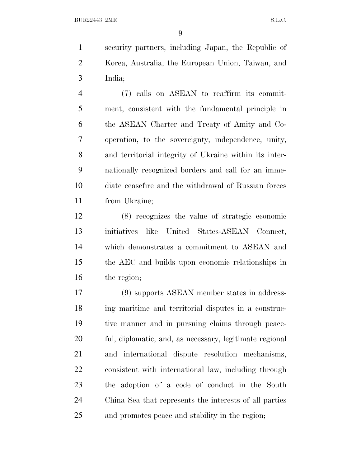security partners, including Japan, the Republic of Korea, Australia, the European Union, Taiwan, and India;

 (7) calls on ASEAN to reaffirm its commit- ment, consistent with the fundamental principle in the ASEAN Charter and Treaty of Amity and Co- operation, to the sovereignty, independence, unity, and territorial integrity of Ukraine within its inter- nationally recognized borders and call for an imme- diate ceasefire and the withdrawal of Russian forces from Ukraine;

 (8) recognizes the value of strategic economic initiatives like United States-ASEAN Connect, which demonstrates a commitment to ASEAN and the AEC and builds upon economic relationships in the region;

 (9) supports ASEAN member states in address- ing maritime and territorial disputes in a construc- tive manner and in pursuing claims through peace- ful, diplomatic, and, as necessary, legitimate regional and international dispute resolution mechanisms, consistent with international law, including through the adoption of a code of conduct in the South China Sea that represents the interests of all parties and promotes peace and stability in the region;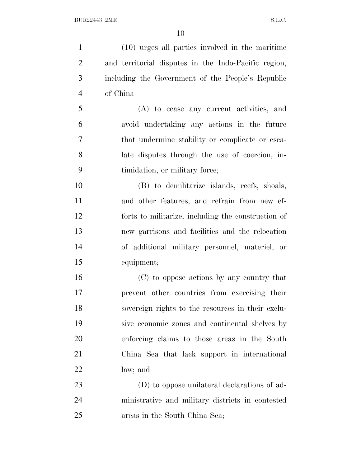(10) urges all parties involved in the maritime and territorial disputes in the Indo-Pacific region, including the Government of the People's Republic of China—

 (A) to cease any current activities, and avoid undertaking any actions in the future that undermine stability or complicate or esca- late disputes through the use of coercion, in-timidation, or military force;

 (B) to demilitarize islands, reefs, shoals, and other features, and refrain from new ef- forts to militarize, including the construction of new garrisons and facilities and the relocation of additional military personnel, materiel, or equipment;

 (C) to oppose actions by any country that prevent other countries from exercising their sovereign rights to the resources in their exclu- sive economic zones and continental shelves by enforcing claims to those areas in the South China Sea that lack support in international law; and

 (D) to oppose unilateral declarations of ad- ministrative and military districts in contested areas in the South China Sea;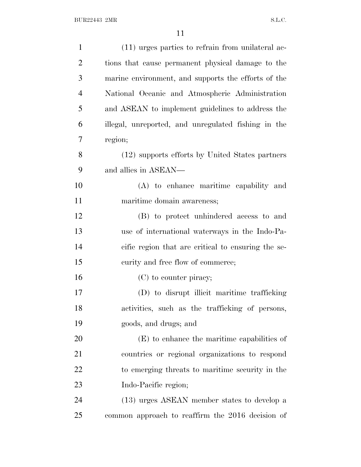| $\mathbf{1}$   | (11) urges parties to refrain from unilateral ac-   |
|----------------|-----------------------------------------------------|
| $\overline{2}$ | tions that cause permanent physical damage to the   |
| 3              | marine environment, and supports the efforts of the |
| $\overline{4}$ | National Oceanic and Atmospheric Administration     |
| 5              | and ASEAN to implement guidelines to address the    |
| 6              | illegal, unreported, and unregulated fishing in the |
| 7              | region;                                             |
| 8              | (12) supports efforts by United States partners     |
| 9              | and allies in ASEAN—                                |
| 10             | (A) to enhance maritime capability and              |
| 11             | maritime domain awareness;                          |
| 12             | (B) to protect unhindered access to and             |
| 13             | use of international waterways in the Indo-Pa-      |
| 14             | cific region that are critical to ensuring the se-  |
| 15             | curity and free flow of commerce;                   |
| 16             | (C) to counter piracy;                              |
| 17             | (D) to disrupt illicit maritime trafficking         |
| 18             | activities, such as the trafficking of persons,     |
| 19             | goods, and drugs; and                               |
| 20             | $(E)$ to enhance the maritime capabilities of       |
| 21             | countries or regional organizations to respond      |
| 22             | to emerging threats to maritime security in the     |
| 23             | Indo-Pacific region;                                |
| 24             | (13) urges ASEAN member states to develop a         |
| 25             | common approach to reaffirm the 2016 decision of    |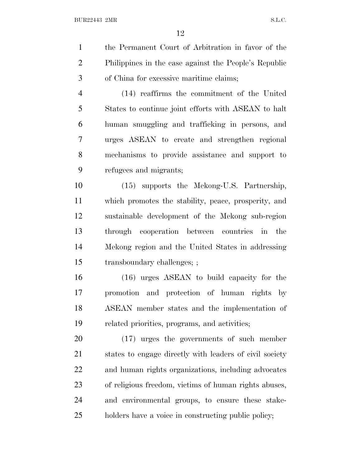the Permanent Court of Arbitration in favor of the Philippines in the case against the People's Republic of China for excessive maritime claims; (14) reaffirms the commitment of the United States to continue joint efforts with ASEAN to halt human smuggling and trafficking in persons, and urges ASEAN to create and strengthen regional

 mechanisms to provide assistance and support to refugees and migrants;

 (15) supports the Mekong-U.S. Partnership, which promotes the stability, peace, prosperity, and sustainable development of the Mekong sub-region through cooperation between countries in the Mekong region and the United States in addressing transboundary challenges; ;

 (16) urges ASEAN to build capacity for the promotion and protection of human rights by ASEAN member states and the implementation of related priorities, programs, and activities;

 (17) urges the governments of such member states to engage directly with leaders of civil society and human rights organizations, including advocates of religious freedom, victims of human rights abuses, and environmental groups, to ensure these stake-holders have a voice in constructing public policy;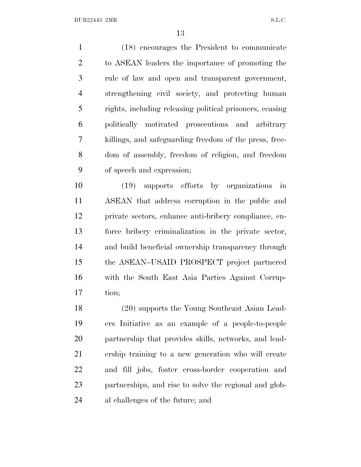(18) encourages the President to communicate to ASEAN leaders the importance of promoting the rule of law and open and transparent government, strengthening civil society, and protecting human rights, including releasing political prisoners, ceasing politically motivated prosecutions and arbitrary killings, and safeguarding freedom of the press, free- dom of assembly, freedom of religion, and freedom of speech and expression;

 (19) supports efforts by organizations in ASEAN that address corruption in the public and private sectors, enhance anti-bribery compliance, en- force bribery criminalization in the private sector, and build beneficial ownership transparency through the ASEAN–USAID PROSPECT project partnered with the South East Asia Parties Against Corrup-tion;

 (20) supports the Young Southeast Asian Lead- ers Initiative as an example of a people-to-people partnership that provides skills, networks, and lead- ership training to a new generation who will create and fill jobs, foster cross-border cooperation and partnerships, and rise to solve the regional and glob-al challenges of the future; and